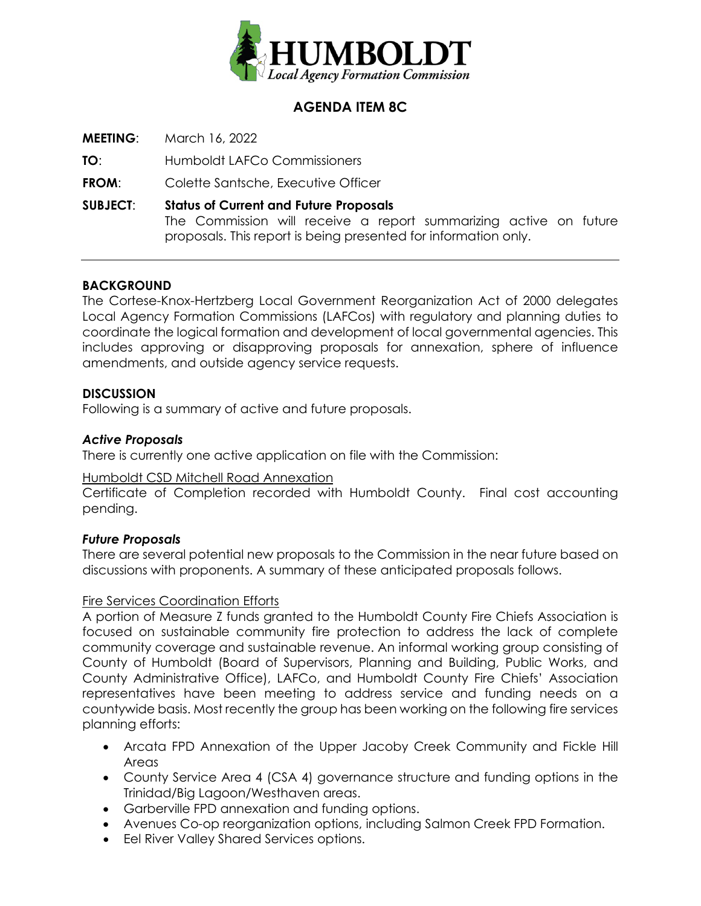

# **AGENDA ITEM 8C**

**MEETING**: March 16, 2022

**TO**: Humboldt LAFCo Commissioners

**FROM:** Colette Santsche, Executive Officer

**SUBJECT**: **Status of Current and Future Proposals** The Commission will receive a report summarizing active on future proposals. This report is being presented for information only.

# **BACKGROUND**

The Cortese-Knox-Hertzberg Local Government Reorganization Act of 2000 delegates Local Agency Formation Commissions (LAFCos) with regulatory and planning duties to coordinate the logical formation and development of local governmental agencies. This includes approving or disapproving proposals for annexation, sphere of influence amendments, and outside agency service requests.

#### **DISCUSSION**

Following is a summary of active and future proposals.

### *Active Proposals*

There is currently one active application on file with the Commission:

#### Humboldt CSD Mitchell Road Annexation

Certificate of Completion recorded with Humboldt County. Final cost accounting pending.

#### *Future Proposals*

There are several potential new proposals to the Commission in the near future based on discussions with proponents. A summary of these anticipated proposals follows.

#### Fire Services Coordination Efforts

A portion of Measure Z funds granted to the Humboldt County Fire Chiefs Association is focused on sustainable community fire protection to address the lack of complete community coverage and sustainable revenue. An informal working group consisting of County of Humboldt (Board of Supervisors, Planning and Building, Public Works, and County Administrative Office), LAFCo, and Humboldt County Fire Chiefs' Association representatives have been meeting to address service and funding needs on a countywide basis. Most recently the group has been working on the following fire services planning efforts:

- Arcata FPD Annexation of the Upper Jacoby Creek Community and Fickle Hill Areas
- County Service Area 4 (CSA 4) governance structure and funding options in the Trinidad/Big Lagoon/Westhaven areas.
- Garberville FPD annexation and funding options.
- Avenues Co-op reorganization options, including Salmon Creek FPD Formation.
- Eel River Valley Shared Services options.